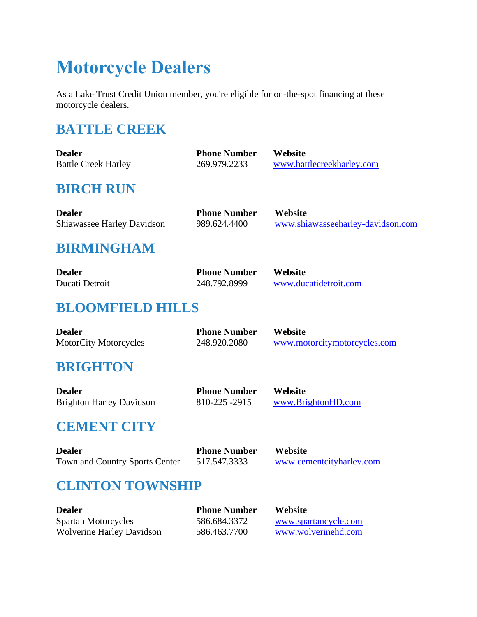# **Motorcycle Dealers**

As a Lake Trust Credit Union member, you're eligible for on-the-spot financing at these motorcycle dealers.

# **BATTLE CREEK**

| <b>Dealer</b>                     | <b>Phone Number</b> | Website                           |
|-----------------------------------|---------------------|-----------------------------------|
| <b>Battle Creek Harley</b>        | 269.979.2233        | www.battlecreekharley.com         |
| <b>BIRCH RUN</b>                  |                     |                                   |
| <b>Dealer</b>                     | <b>Phone Number</b> | Website                           |
| <b>Shiawassee Harley Davidson</b> | 989.624.4400        | www.shiawasseeharley-davidson.com |
| <b>RIPMINCHAM</b>                 |                     |                                   |

#### **BIRMINGHAM**

| <b>Dealer</b>  | <b>Phone Number</b> | Website               |
|----------------|---------------------|-----------------------|
| Ducati Detroit | 248.792.8999        | www.ducatidetroit.com |

# **BLOOMFIELD HILLS**

| <b>Dealer</b>                | <b>Phone Number</b> | <b>Website</b>               |
|------------------------------|---------------------|------------------------------|
| <b>MotorCity Motorcycles</b> | 248.920.2080        | www.motorcitymotorcycles.com |

## **BRIGHTON**

| <b>Dealer</b>                   | <b>Phone Number</b> | <b>Website</b>     |
|---------------------------------|---------------------|--------------------|
| <b>Brighton Harley Davidson</b> | 810-225 -2915       | www.BrightonHD.com |

## **CEMENT CITY**

| <b>Dealer</b>                  | <b>Phone Number</b> | Website                  |
|--------------------------------|---------------------|--------------------------|
| Town and Country Sports Center | 517.547.3333        | www.cementcityharley.com |

# **CLINTON TOWNSHIP**

| <b>Dealer</b>                    | <b>Phone Number</b> | Website              |
|----------------------------------|---------------------|----------------------|
| Spartan Motorcycles              | 586.684.3372        | www.spartancycle.com |
| <b>Wolverine Harley Davidson</b> | 586.463.7700        | www.wolverinehd.com  |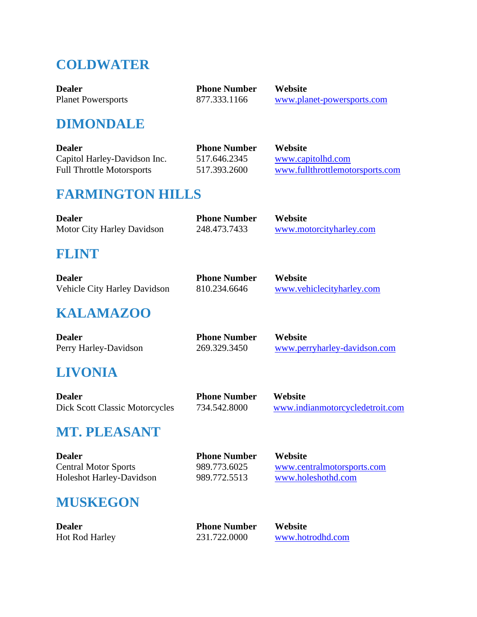# **COLDWATER**

| <b>Dealer</b>             | <b>Phone Number</b> | Website                    |
|---------------------------|---------------------|----------------------------|
| <b>Planet Powersports</b> | 877.333.1166        | www.planet-powersports.com |

## **DIMONDALE**

| <b>Dealer</b>                    | <b>Phone Number</b> | <b>Website</b>                  |
|----------------------------------|---------------------|---------------------------------|
| Capitol Harley-Davidson Inc.     | 517.646.2345        | www.capitolhd.com               |
| <b>Full Throttle Motorsports</b> | 517.393.2600        | www.fullthrottlemotorsports.com |

# **FARMINGTON HILLS**

| <b>Dealer</b>              | <b>Phone Number</b> | <b>Website</b>          |
|----------------------------|---------------------|-------------------------|
| Motor City Harley Davidson | 248.473.7433        | www.motorcityharley.com |

#### **FLINT**

| <b>Dealer</b>                       | <b>Phone Number</b> | <b>Website</b>            |
|-------------------------------------|---------------------|---------------------------|
| <b>Vehicle City Harley Davidson</b> | 810.234.6646        | www.vehiclecityharley.com |

## **KALAMAZOO**

| <b>Dealer</b>         | <b>Phone Number</b> | Website                      |
|-----------------------|---------------------|------------------------------|
| Perry Harley-Davidson | 269.329.3450        | www.perryharley-davidson.com |

# **LIVONIA**

| <b>Dealer</b>                         | <b>Phone Number</b> | Website                         |
|---------------------------------------|---------------------|---------------------------------|
| <b>Dick Scott Classic Motorcycles</b> | 734.542.8000        | www.indianmotorcycledetroit.com |

## **MT. PLEASANT**

| <b>Dealer</b>               | <b>Phone Number</b> | <b>Website</b>             |
|-----------------------------|---------------------|----------------------------|
| <b>Central Motor Sports</b> | 989.773.6025        | www.centralmotorsports.com |
| Holeshot Harley-Davidson    | 989.772.5513        | www.holeshothd.com         |

## **MUSKEGON**

| <b>Dealer</b>         | <b>Phone Number</b> | Website          |
|-----------------------|---------------------|------------------|
| <b>Hot Rod Harley</b> | 231.722.0000        | www.hotrodhd.com |